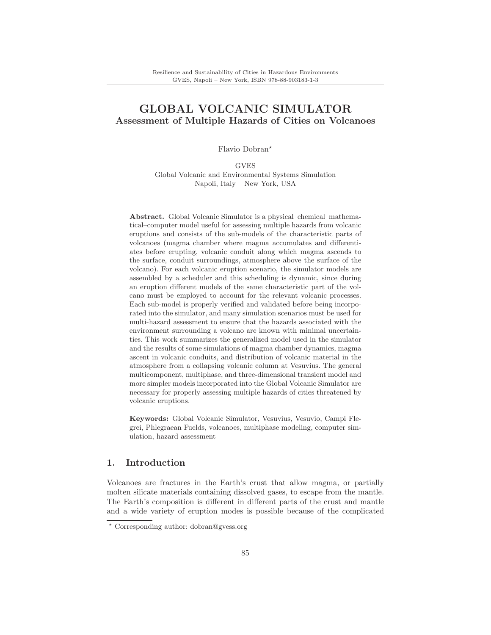# **GLOBAL VOLCANIC SIMULATOR Assessment of Multiple Hazards of Cities on Volcanoes**

Flavio Dobran\*

GVES Global Volcanic and Environmental Systems Simulation Napoli, Italy – New York, USA

**Abstract.** Global Volcanic Simulator is a physical–chemical–mathematical–computer model useful for assessing multiple hazards from volcanic eruptions and consists of the sub-models of the characteristic parts of volcanoes (magma chamber where magma accumulates and differentiates before erupting, volcanic conduit along which magma ascends to the surface, conduit surroundings, atmosphere above the surface of the volcano). For each volcanic eruption scenario, the simulator models are assembled by a scheduler and this scheduling is dynamic, since during an eruption different models of the same characteristic part of the volcano must be employed to account for the relevant volcanic processes. Each sub-model is properly verified and validated before being incorporated into the simulator, and many simulation scenarios must be used for multi-hazard assessment to ensure that the hazards associated with the environment surrounding a volcano are known with minimal uncertainties. This work summarizes the generalized model used in the simulator and the results of some simulations of magma chamber dynamics, magma ascent in volcanic conduits, and distribution of volcanic material in the atmosphere from a collapsing volcanic column at Vesuvius. The general multicomponent, multiphase, and three-dimensional transient model and more simpler models incorporated into the Global Volcanic Simulator are necessary for properly assessing multiple hazards of cities threatened by volcanic eruptions.

**Keywords:** Global Volcanic Simulator, Vesuvius, Vesuvio, Campi Flegrei, Phlegraean Fuelds, volcanoes, multiphase modeling, computer simulation, hazard assessment

## **1. Introduction**

Volcanoes are fractures in the Earth's crust that allow magma, or partially molten silicate materials containing dissolved gases, to escape from the mantle. The Earth's composition is different in different parts of the crust and mantle and a wide variety of eruption modes is possible because of the complicated

<sup>-</sup> Corresponding author: dobran@gvess.org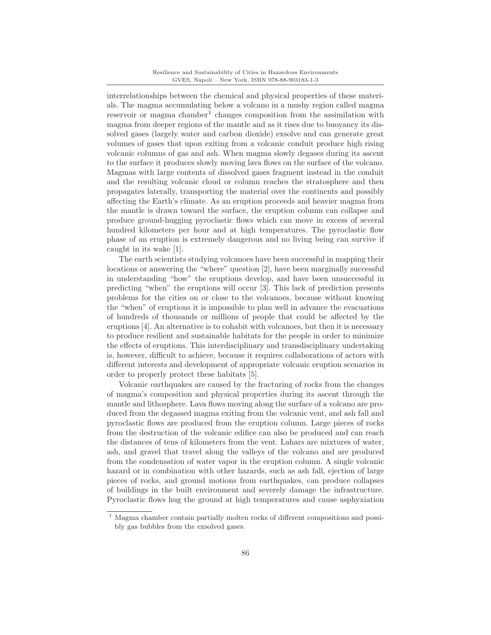interrelationships between the chemical and physical properties of these materials. The magma accumulating below a volcano in a mushy region called magma reservoir or magma chamber<sup>1</sup> changes composition from the assimilation with magma from deeper regions of the mantle and as it rises due to buoyancy its dissolved gases (largely water and carbon dioxide) exsolve and can generate great volumes of gases that upon exiting from a volcanic conduit produce high rising volcanic columns of gas and ash. When magma slowly degases during its ascent to the surface it produces slowly moving lava flows on the surface of the volcano. Magmas with large contents of dissolved gases fragment instead in the conduit and the resulting volcanic cloud or column reaches the stratosphere and then propagates laterally, transporting the material over the continents and possibly affecting the Earth's climate. As an eruption proceeds and heavier magma from the mantle is drawn toward the surface, the eruption column can collapse and produce ground-hugging pyroclastic flows which can move in excess of several hundred kilometers per hour and at high temperatures. The pyroclastic flow phase of an eruption is extremely dangerous and no living being can survive if caught in its wake [1].

The earth scientists studying volcanoes have been successful in mapping their locations or answering the "where" question [2], have been marginally successful in understanding "how" the eruptions develop, and have been unsuccessful in predicting "when" the eruptions will occur [3]. This lack of prediction presents problems for the cities on or close to the volcanoes, because without knowing the "when" of eruptions it is impossible to plan well in advance the evacuations of hundreds of thousands or millions of people that could be affected by the eruptions [4]. An alternative is to cohabit with volcanoes, but then it is necessary to produce resilient and sustainable habitats for the people in order to minimize the effects of eruptions. This interdisciplinary and transdisciplinary undertaking is, however, difficult to achieve, because it requires collaborations of actors with different interests and development of appropriate volcanic eruption scenarios in order to properly protect these habitats [5].

Volcanic earthquakes are caused by the fracturing of rocks from the changes of magma's composition and physical properties during its ascent through the mantle and lithosphere. Lava flows moving along the surface of a volcano are produced from the degassed magma exiting from the volcanic vent, and ash fall and pyroclastic flows are produced from the eruption column. Large pieces of rocks from the destruction of the volcanic edifice can also be produced and can reach the distances of tens of kilometers from the vent. Lahars are mixtures of water, ash, and gravel that travel along the valleys of the volcano and are produced from the condensation of water vapor in the eruption column. A single volcanic hazard or in combination with other hazards, such as ash fall, ejection of large pieces of rocks, and ground motions from earthquakes, can produce collapses of buildings in the built environment and severely damage the infrastructure. Pyroclastic flows hug the ground at high temperatures and cause asphyxiation

<sup>&</sup>lt;sup>1</sup> Magma chamber contain partially molten rocks of different compositions and possibly gas bubbles from the exsolved gases.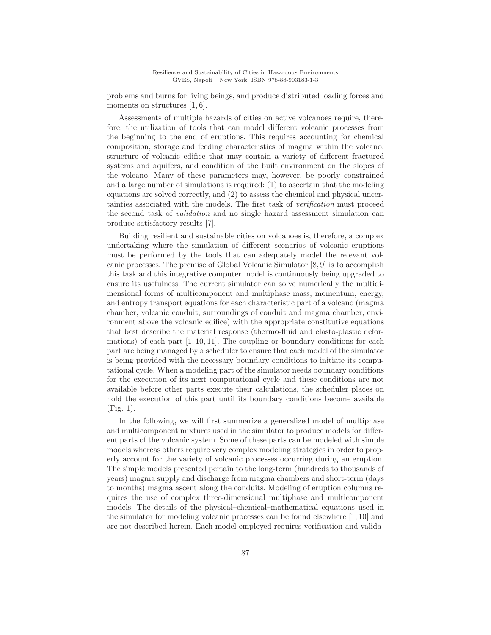problems and burns for living beings, and produce distributed loading forces and moments on structures [1, 6].

Assessments of multiple hazards of cities on active volcanoes require, therefore, the utilization of tools that can model different volcanic processes from the beginning to the end of eruptions. This requires accounting for chemical composition, storage and feeding characteristics of magma within the volcano, structure of volcanic edifice that may contain a variety of different fractured systems and aquifers, and condition of the built environment on the slopes of the volcano. Many of these parameters may, however, be poorly constrained and a large number of simulations is required: (1) to ascertain that the modeling equations are solved correctly, and (2) to assess the chemical and physical uncertainties associated with the models. The first task of verification must proceed the second task of validation and no single hazard assessment simulation can produce satisfactory results [7].

Building resilient and sustainable cities on volcanoes is, therefore, a complex undertaking where the simulation of different scenarios of volcanic eruptions must be performed by the tools that can adequately model the relevant volcanic processes. The premise of Global Volcanic Simulator [8, 9] is to accomplish this task and this integrative computer model is continuously being upgraded to ensure its usefulness. The current simulator can solve numerically the multidimensional forms of multicomponent and multiphase mass, momentum, energy, and entropy transport equations for each characteristic part of a volcano (magma chamber, volcanic conduit, surroundings of conduit and magma chamber, environment above the volcanic edifice) with the appropriate constitutive equations that best describe the material response (thermo-fluid and elasto-plastic deformations) of each part  $[1, 10, 11]$ . The coupling or boundary conditions for each part are being managed by a scheduler to ensure that each model of the simulator is being provided with the necessary boundary conditions to initiate its computational cycle. When a modeling part of the simulator needs boundary conditions for the execution of its next computational cycle and these conditions are not available before other parts execute their calculations, the scheduler places on hold the execution of this part until its boundary conditions become available (Fig. 1).

In the following, we will first summarize a generalized model of multiphase and multicomponent mixtures used in the simulator to produce models for different parts of the volcanic system. Some of these parts can be modeled with simple models whereas others require very complex modeling strategies in order to properly account for the variety of volcanic processes occurring during an eruption. The simple models presented pertain to the long-term (hundreds to thousands of years) magma supply and discharge from magma chambers and short-term (days to months) magma ascent along the conduits. Modeling of eruption columns requires the use of complex three-dimensional multiphase and multicomponent models. The details of the physical–chemical–mathematical equations used in the simulator for modeling volcanic processes can be found elsewhere [1, 10] and are not described herein. Each model employed requires verification and valida-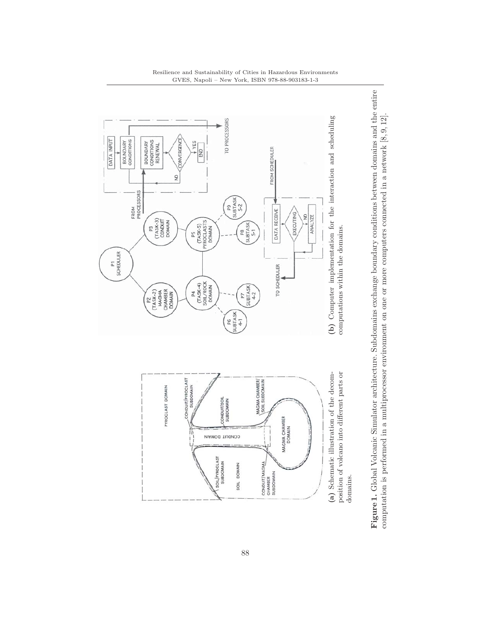

#### Resilience and Sustainability of Cities in Hazardous Environments GVES, Napoli – New York, ISBN 978-88-903183-1-3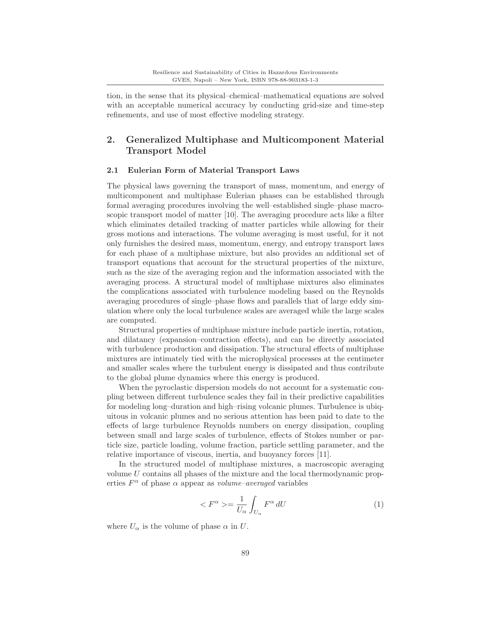tion, in the sense that its physical–chemical–mathematical equations are solved with an acceptable numerical accuracy by conducting grid-size and time-step refinements, and use of most effective modeling strategy.

# **2. Generalized Multiphase and Multicomponent Material Transport Model**

### **2.1 Eulerian Form of Material Transport Laws**

The physical laws governing the transport of mass, momentum, and energy of multicomponent and multiphase Eulerian phases can be established through formal averaging procedures involving the well–established single–phase macroscopic transport model of matter [10]. The averaging procedure acts like a filter which eliminates detailed tracking of matter particles while allowing for their gross motions and interactions. The volume averaging is most useful, for it not only furnishes the desired mass, momentum, energy, and entropy transport laws for each phase of a multiphase mixture, but also provides an additional set of transport equations that account for the structural properties of the mixture, such as the size of the averaging region and the information associated with the averaging process. A structural model of multiphase mixtures also eliminates the complications associated with turbulence modeling based on the Reynolds averaging procedures of single–phase flows and parallels that of large eddy simulation where only the local turbulence scales are averaged while the large scales are computed.

Structural properties of multiphase mixture include particle inertia, rotation, and dilatancy (expansion–contraction effects), and can be directly associated with turbulence production and dissipation. The structural effects of multiphase mixtures are intimately tied with the microphysical processes at the centimeter and smaller scales where the turbulent energy is dissipated and thus contribute to the global plume dynamics where this energy is produced.

When the pyroclastic dispersion models do not account for a systematic coupling between different turbulence scales they fail in their predictive capabilities for modeling long–duration and high–rising volcanic plumes. Turbulence is ubiquitous in volcanic plumes and no serious attention has been paid to date to the effects of large turbulence Reynolds numbers on energy dissipation, coupling between small and large scales of turbulence, effects of Stokes number or particle size, particle loading, volume fraction, particle settling parameter, and the relative importance of viscous, inertia, and buoyancy forces [11].

In the structured model of multiphase mixtures, a macroscopic averaging volume U contains all phases of the mixture and the local thermodynamic properties  $F^{\alpha}$  of phase  $\alpha$  appear as volume-averaged variables

$$
\langle F^{\alpha} \rangle = \frac{1}{U_{\alpha}} \int_{U_{\alpha}} F^{\alpha} dU \tag{1}
$$

where  $U_{\alpha}$  is the volume of phase  $\alpha$  in U.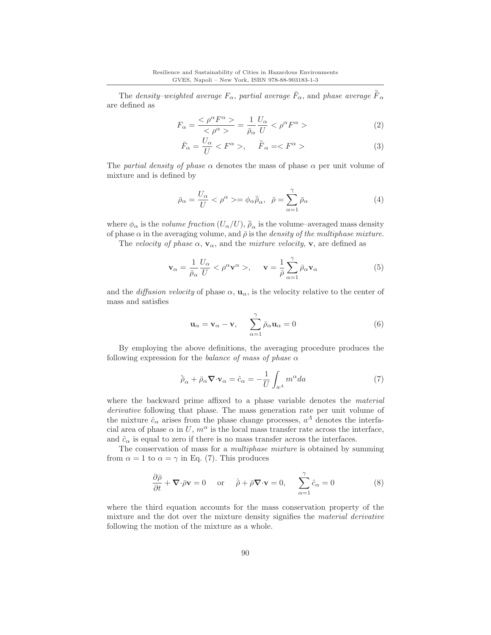The density–weighted average  $F_{\alpha}$ , partial average  $\bar{F}_{\alpha}$ , and phase average  $\bar{\bar{F}}_{\alpha}$ are defined as

$$
F_{\alpha} = \frac{<\rho^{\alpha}F^{\alpha}>}{<\rho^{\alpha}>} = \frac{1}{\bar{\rho}_{\alpha}}\frac{U_{\alpha}}{U} < \rho^{\alpha}F^{\alpha} > \tag{2}
$$

$$
\bar{F}_{\alpha} = \frac{U_{\alpha}}{U} < F^{\alpha} > , \quad \bar{\bar{F}}_{\alpha} = < F^{\alpha} > \tag{3}
$$

The partial density of phase  $\alpha$  denotes the mass of phase  $\alpha$  per unit volume of mixture and is defined by

$$
\bar{\rho}_{\alpha} = \frac{U_{\alpha}}{U} < \rho^{\alpha} > = \phi_{\alpha} \bar{\rho}_{\alpha}, \quad \bar{\rho} = \sum_{\alpha=1}^{\gamma} \bar{\rho}_{\alpha} \tag{4}
$$

where  $\phi_{\alpha}$  is the *volume fraction*  $(U_{\alpha}/U)$ ,  $\bar{\bar{\rho}}_{\alpha}$  is the volume–averaged mass density of phase  $\alpha$  in the averaging volume, and  $\bar{\rho}$  is the *density of the multiphase mixture*.

The velocity of phase  $\alpha$ ,  $\mathbf{v}_{\alpha}$ , and the mixture velocity, **v**, are defined as

$$
\mathbf{v}_{\alpha} = \frac{1}{\bar{\rho}_{\alpha}} \frac{U_{\alpha}}{U} < \rho^{\alpha} \mathbf{v}^{\alpha} > , \quad \mathbf{v} = \frac{1}{\bar{\rho}} \sum_{\alpha=1}^{\gamma} \bar{\rho}_{\alpha} \mathbf{v}_{\alpha} \tag{5}
$$

and the *diffusion velocity* of phase  $\alpha$ ,  $\mathbf{u}_{\alpha}$ , is the velocity relative to the center of mass and satisfies

$$
\mathbf{u}_{\alpha} = \mathbf{v}_{\alpha} - \mathbf{v}, \quad \sum_{\alpha=1}^{\gamma} \bar{\rho}_{\alpha} \mathbf{u}_{\alpha} = 0 \tag{6}
$$

By employing the above definitions, the averaging procedure produces the following expression for the balance of mass of phase  $\alpha$ 

$$
\tilde{\rho}_{\alpha} + \bar{\rho}_{\alpha} \nabla \cdot \mathbf{v}_{\alpha} = \hat{c}_{\alpha} = -\frac{1}{U} \int_{a^{\Lambda}} m^{\alpha} da \tag{7}
$$

where the backward prime affixed to a phase variable denotes the *material* derivative following that phase. The mass generation rate per unit volume of the mixture  $\hat{c}_{\alpha}$  arises from the phase change processes,  $a^{\Lambda}$  denotes the interfacial area of phase  $\alpha$  in U,  $m^{\alpha}$  is the local mass transfer rate across the interface, and  $\hat{c}_{\alpha}$  is equal to zero if there is no mass transfer across the interfaces.

The conservation of mass for a multiphase mixture is obtained by summing from  $\alpha = 1$  to  $\alpha = \gamma$  in Eq. (7). This produces

$$
\frac{\partial \bar{\rho}}{\partial t} + \nabla \cdot \bar{\rho} \mathbf{v} = 0 \quad \text{or} \quad \bar{\rho} + \bar{\rho} \nabla \cdot \mathbf{v} = 0, \quad \sum_{\alpha=1}^{\gamma} \hat{c}_{\alpha} = 0 \tag{8}
$$

where the third equation accounts for the mass conservation property of the mixture and the dot over the mixture density signifies the *material derivative* following the motion of the mixture as a whole.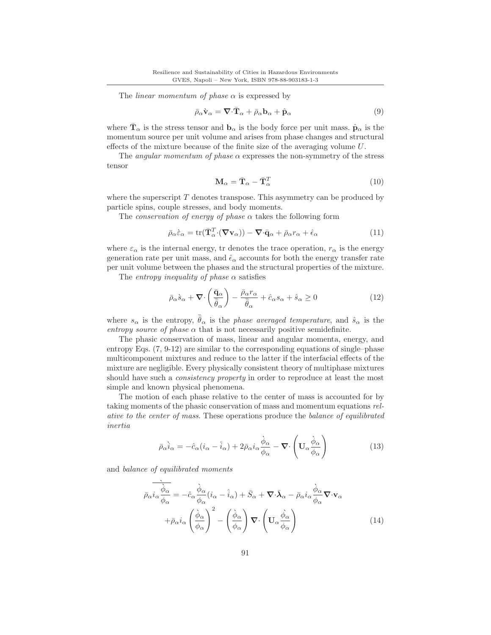The *linear momentum of phase*  $\alpha$  is expressed by

$$
\bar{\rho}_{\alpha}\dot{\mathbf{v}}_{\alpha} = \nabla \cdot \bar{\mathbf{T}}_{\alpha} + \bar{\rho}_{\alpha}\mathbf{b}_{\alpha} + \hat{\mathbf{p}}_{\alpha}
$$
\n(9)

where  $\mathbf{T}_{\alpha}$  is the stress tensor and  $\mathbf{b}_{\alpha}$  is the body force per unit mass.  $\hat{\mathbf{p}}_{\alpha}$  is the momentum source per unit volume and arises from phase changes and structural effects of the mixture because of the finite size of the averaging volume U.

The *angular momentum of phase*  $\alpha$  expresses the non-symmetry of the stress tensor

$$
\mathbf{M}_{\alpha} = \bar{\mathbf{T}}_{\alpha} - \bar{\mathbf{T}}_{\alpha}^{T}
$$
 (10)

where the superscript  $T$  denotes transpose. This asymmetry can be produced by particle spins, couple stresses, and body moments.

The *conservation of energy of phase*  $\alpha$  takes the following form

$$
\bar{\rho}_{\alpha}\hat{\varepsilon}_{\alpha} = \text{tr}(\bar{\mathbf{T}}_{\alpha}^{T} \cdot (\nabla \mathbf{v}_{\alpha})) - \nabla \cdot \bar{\mathbf{q}}_{\alpha} + \bar{\rho}_{\alpha}r_{\alpha} + \hat{\epsilon}_{\alpha}
$$
(11)

where  $\varepsilon_{\alpha}$  is the internal energy, tr denotes the trace operation,  $r_{\alpha}$  is the energy generation rate per unit mass, and  $\hat{\epsilon}_{\alpha}$  accounts for both the energy transfer rate per unit volume between the phases and the structural properties of the mixture.

The *entropy inequality of phase*  $\alpha$  satisfies

$$
\bar{\rho}_{\alpha}\dot{s}_{\alpha} + \nabla \cdot \left(\frac{\bar{\mathbf{q}}_{\alpha}}{\bar{\bar{\theta}}_{\alpha}}\right) - \frac{\bar{\rho}_{\alpha}r_{\alpha}}{\bar{\bar{\theta}}_{\alpha}} + \hat{c}_{\alpha}s_{\alpha} + \hat{s}_{\alpha} \ge 0 \tag{12}
$$

where  $s_{\alpha}$  is the entropy,  $\bar{\bar{\theta}}_{\alpha}$  is the phase averaged temperature, and  $\hat{s}_{\alpha}$  is the entropy source of phase  $\alpha$  that is not necessarily positive semidefinite.

The phasic conservation of mass, linear and angular momenta, energy, and entropy Eqs. (7, 9-12) are similar to the corresponding equations of single–phase multicomponent mixtures and reduce to the latter if the interfacial effects of the mixture are negligible. Every physically consistent theory of multiphase mixtures should have such a *consistency property* in order to reproduce at least the most simple and known physical phenomena.

The motion of each phase relative to the center of mass is accounted for by taking moments of the phasic conservation of mass and momentum equations relative to the center of mass. These operations produce the balance of equilibrated inertia

$$
\bar{\rho}_{\alpha}\dot{i}_{\alpha} = -\hat{c}_{\alpha}(i_{\alpha} - \hat{i}_{\alpha}) + 2\bar{\rho}_{\alpha}i_{\alpha}\frac{\dot{\phi}_{\alpha}}{\phi_{\alpha}} - \nabla \cdot \left(\mathbf{U}_{\alpha}\frac{\dot{\phi}_{\alpha}}{\phi_{\alpha}}\right)
$$
(13)

and balance of equilibrated moments

$$
\overrightarrow{\rho_{\alpha}i_{\alpha}}\frac{\overrightarrow{\dot{\phi}_{\alpha}}}{\phi_{\alpha}} = -\hat{c}_{\alpha}\frac{\dot{\phi}_{\alpha}}{\phi_{\alpha}}(i_{\alpha} - \hat{i}_{\alpha}) + \bar{S}_{\alpha} + \nabla \cdot \bar{\lambda}_{\alpha} - \bar{\rho}_{\alpha}i_{\alpha}\frac{\dot{\phi}_{\alpha}}{\phi_{\alpha}}\nabla \cdot \mathbf{v}_{\alpha} \n+ \bar{\rho}_{\alpha}i_{\alpha}\left(\frac{\dot{\phi}_{\alpha}}{\phi_{\alpha}}\right)^{2} - \left(\frac{\dot{\phi}_{\alpha}}{\phi_{\alpha}}\right)\nabla \cdot \left(\mathbf{U}_{\alpha}\frac{\dot{\phi}_{\alpha}}{\phi_{\alpha}}\right)
$$
\n(14)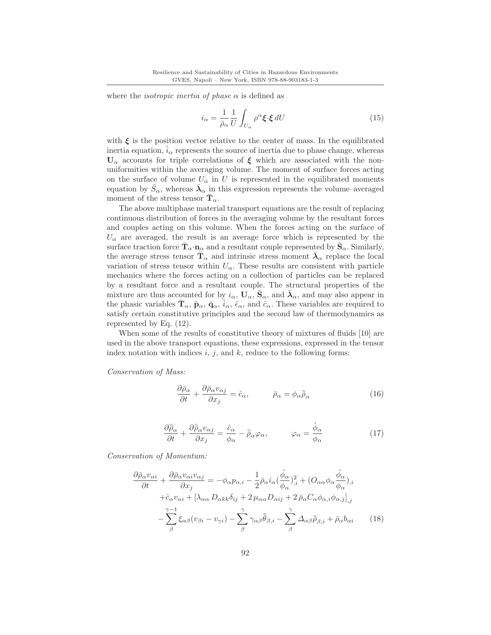where the *isotropic inertia of phase*  $\alpha$  is defined as

$$
i_{\alpha} = \frac{1}{\bar{\rho}_{\alpha}} \frac{1}{U} \int_{U_{\alpha}} \rho^{\alpha} \xi \cdot \xi \, dU \tag{15}
$$

with  $\xi$  is the position vector relative to the center of mass. In the equilibrated inertia equation,  $\hat{i}_{\alpha}$  represents the source of inertia due to phase change, whereas **U**<sup>α</sup> accounts for triple correlations of *ξ* which are associated with the nonuniformities within the averaging volume. The moment of surface forces acting on the surface of volume  $U_{\alpha}$  in U is represented in the equilibrated moments equation by  $\bar{S}_{\alpha}$ , whereas  $\bar{\lambda}_{\alpha}$  in this expression represents the volume–averaged moment of the stress tensor  $\mathbf{T}_{\alpha}$ .

The above multiphase material transport equations are the result of replacing continuous distribution of forces in the averaging volume by the resultant forces and couples acting on this volume. When the forces acting on the surface of  $U_{\alpha}$  are averaged, the result is an average force which is represented by the surface traction force  $\mathbf{T}_{\alpha} \cdot \mathbf{n}_{\alpha}$  and a resultant couple represented by  $\mathbf{S}_{\alpha}$ . Similarly, the average stress tensor  $\bar{\mathbf{T}}_{\alpha}$  and intrinsic stress moment  $\bar{\boldsymbol{\lambda}}_{\alpha}$  replace the local variation of stress tensor within  $U_{\alpha}$ . These results are consistent with particle mechanics where the forces acting on a collection of particles can be replaced by a resultant force and a resultant couple. The structural properties of the mixture are thus accounted for by  $i_{\alpha}$ ,  $U_{\alpha}$ ,  $\bar{S}_{\alpha}$ , and  $\bar{\lambda}_{\alpha}$ , and may also appear in the phasic variables  $\mathbf{T}_{\alpha}$ ,  $\hat{\mathbf{p}}_{\alpha}$ ,  $\bar{\mathbf{q}}_{\alpha}$ ,  $\hat{i}_{\alpha}$ ,  $\hat{\epsilon}_{\alpha}$ , and  $\hat{c}_{\alpha}$ . These variables are required to satisfy certain constitutive principles and the second law of thermodynamics as represented by Eq. (12).

When some of the results of constitutive theory of mixtures of fluids [10] are used in the above transport equations, these expressions, expressed in the tensor index notation with indices i, j, and k, reduce to the following forms:

Conservation of Mass:

$$
\frac{\partial \bar{\rho}_{\alpha}}{\partial t} + \frac{\partial \bar{\rho}_{\alpha} v_{\alpha j}}{\partial x_j} = \hat{c}_{\alpha}, \qquad \bar{\rho}_{\alpha} = \phi_{\alpha} \bar{\bar{\rho}}_{\alpha}
$$
(16)

$$
\frac{\partial \bar{\bar{\rho}}_{\alpha}}{\partial t} + \frac{\partial \bar{\bar{\rho}}_{\alpha} v_{\alpha j}}{\partial x_{j}} = \frac{\hat{c}_{\alpha}}{\phi_{\alpha}} - \bar{\bar{\rho}}_{\alpha} \varphi_{\alpha}, \qquad \varphi_{\alpha} = \frac{\dot{\phi}_{\alpha}}{\phi_{\alpha}} \tag{17}
$$

Conservation of Momentum:

$$
\frac{\partial \bar{\rho}_{\alpha} v_{\alpha i}}{\partial t} + \frac{\partial \bar{\rho}_{\alpha} v_{\alpha i} v_{\alpha j}}{\partial x_{j}} = -\phi_{\alpha} p_{\alpha, i} - \frac{1}{2} \bar{\rho}_{\alpha} i_{\alpha} (\frac{\dot{\phi}_{\alpha}}{\phi_{\alpha}})^{2}_{,i} + (O_{\alpha \alpha} \phi_{\alpha} \frac{\dot{\phi}_{\alpha}}{\phi_{\alpha}})_{,i} \n+ \hat{c}_{\alpha} v_{\alpha i} + [\lambda_{\alpha \alpha} D_{\alpha k k} \delta_{i j} + 2 \mu_{\alpha \alpha} D_{\alpha i j} + 2 \bar{\rho}_{\alpha} C_{\alpha} \phi_{\alpha, i} \phi_{\alpha, j}]_{,j} \n- \sum_{\beta}^{\gamma - 1} \xi_{\alpha \beta} (v_{\beta i} - v_{\gamma i}) - \sum_{\beta}^{\gamma} \gamma_{\alpha \beta} \bar{\bar{\theta}}_{\beta, i} - \sum_{\beta}^{\gamma} \Delta_{\alpha \beta} \bar{\rho}_{\beta, i} + \bar{\rho}_{\alpha} b_{\alpha i}
$$
(18)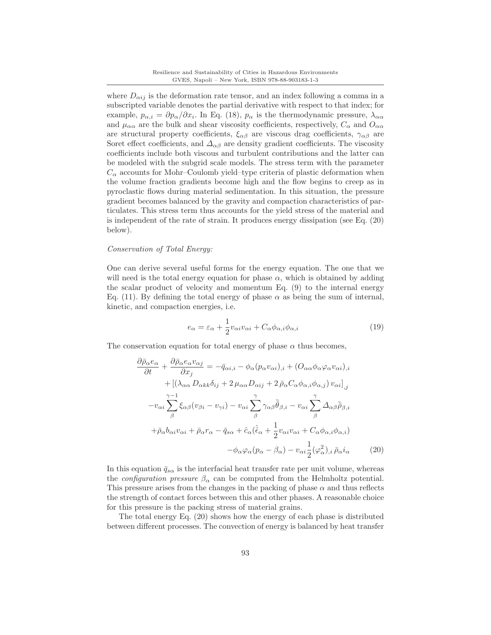where  $D_{\alpha ij}$  is the deformation rate tensor, and an index following a comma in a subscripted variable denotes the partial derivative with respect to that index; for example,  $p_{\alpha,i} = \partial p_{\alpha}/\partial x_i$ . In Eq. (18),  $p_{\alpha}$  is the thermodynamic pressure,  $\lambda_{\alpha\alpha}$ and  $\mu_{\alpha\alpha}$  are the bulk and shear viscosity coefficients, respectively,  $C_{\alpha}$  and  $O_{\alpha\alpha}$ are structural property coefficients,  $\xi_{\alpha\beta}$  are viscous drag coefficients,  $\gamma_{\alpha\beta}$  are Soret effect coefficients, and  $\Delta_{\alpha\beta}$  are density gradient coefficients. The viscosity coefficients include both viscous and turbulent contributions and the latter can be modeled with the subgrid scale models. The stress term with the parameter  $C_{\alpha}$  accounts for Mohr–Coulomb yield–type criteria of plastic deformation when the volume fraction gradients become high and the flow begins to creep as in pyroclastic flows during material sedimentation. In this situation, the pressure gradient becomes balanced by the gravity and compaction characteristics of particulates. This stress term thus accounts for the yield stress of the material and is independent of the rate of strain. It produces energy dissipation (see Eq. (20) below).

### Conservation of Total Energy:

One can derive several useful forms for the energy equation. The one that we will need is the total energy equation for phase  $\alpha$ , which is obtained by adding the scalar product of velocity and momentum Eq. (9) to the internal energy Eq. (11). By defining the total energy of phase  $\alpha$  as being the sum of internal, kinetic, and compaction energies, i.e.

$$
e_{\alpha} = \varepsilon_{\alpha} + \frac{1}{2}v_{\alpha i}v_{\alpha i} + C_{\alpha}\phi_{\alpha,i}\phi_{\alpha,i}
$$
\n(19)

The conservation equation for total energy of phase  $\alpha$  thus becomes,

$$
\frac{\partial \bar{\rho}_{\alpha} e_{\alpha}}{\partial t} + \frac{\partial \bar{\rho}_{\alpha} e_{\alpha} v_{\alpha j}}{\partial x_j} = -\bar{q}_{\alpha i,i} - \phi_{\alpha} (p_{\alpha} v_{\alpha i})_{,i} + (O_{\alpha \alpha} \phi_{\alpha} \phi_{\alpha} v_{\alpha i})_{,i} \n+ [(\lambda_{\alpha \alpha} D_{\alpha k k} \delta_{ij} + 2 \mu_{\alpha \alpha} D_{\alpha ij} + 2 \bar{\rho}_{\alpha} C_{\alpha} \phi_{\alpha,i} \phi_{\alpha,j}) v_{\alpha i}]_{,j} \n- v_{\alpha i} \sum_{\beta}^{\gamma - 1} \xi_{\alpha \beta} (v_{\beta i} - v_{\gamma i}) - v_{\alpha i} \sum_{\beta}^{\gamma} \gamma_{\alpha \beta} \bar{\theta}_{\beta,i} - v_{\alpha i} \sum_{\beta}^{\gamma} \Delta_{\alpha \beta} \bar{\rho}_{\beta,i} \n+ \bar{\rho}_{\alpha} b_{\alpha i} v_{\alpha i} + \bar{\rho}_{\alpha} r_{\alpha} - \bar{q}_{s \alpha} + \hat{c}_{\alpha} (\hat{\epsilon}_{\alpha} + \frac{1}{2} v_{\alpha i} v_{\alpha i} + C_{\alpha} \phi_{\alpha,i} \phi_{\alpha,i}) \n- \phi_{\alpha} \varphi_{\alpha} (p_{\alpha} - \beta_{\alpha}) - v_{\alpha i} \frac{1}{2} (\varphi_{\alpha}^2)_{,i} \bar{\rho}_{\alpha} i_{\alpha}
$$
\n(20)

In this equation  $\bar{q}_{s\alpha}$  is the interfacial heat transfer rate per unit volume, whereas the *configuration pressure*  $\beta_{\alpha}$  can be computed from the Helmholtz potential. This pressure arises from the changes in the packing of phase  $\alpha$  and thus reflects the strength of contact forces between this and other phases. A reasonable choice for this pressure is the packing stress of material grains.

The total energy Eq. (20) shows how the energy of each phase is distributed between different processes. The convection of energy is balanced by heat transfer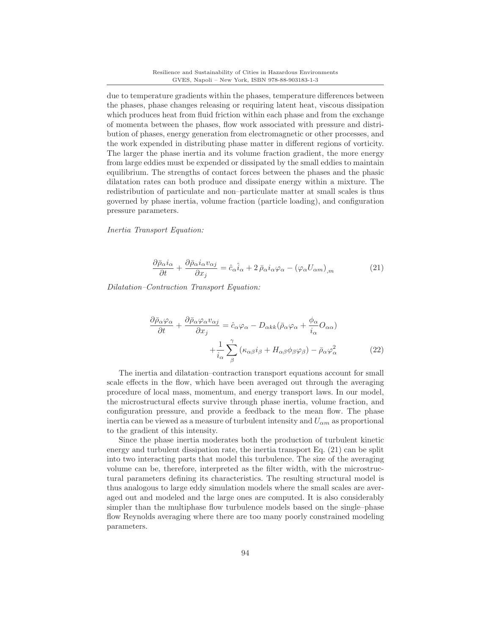due to temperature gradients within the phases, temperature differences between the phases, phase changes releasing or requiring latent heat, viscous dissipation which produces heat from fluid friction within each phase and from the exchange of momenta between the phases, flow work associated with pressure and distribution of phases, energy generation from electromagnetic or other processes, and the work expended in distributing phase matter in different regions of vorticity. The larger the phase inertia and its volume fraction gradient, the more energy from large eddies must be expended or dissipated by the small eddies to maintain equilibrium. The strengths of contact forces between the phases and the phasic dilatation rates can both produce and dissipate energy within a mixture. The redistribution of particulate and non–particulate matter at small scales is thus governed by phase inertia, volume fraction (particle loading), and configuration pressure parameters.

Inertia Transport Equation:

$$
\frac{\partial \bar{\rho}_{\alpha} i_{\alpha}}{\partial t} + \frac{\partial \bar{\rho}_{\alpha} i_{\alpha} v_{\alpha j}}{\partial x_j} = \hat{c}_{\alpha} \hat{i}_{\alpha} + 2 \bar{\rho}_{\alpha} i_{\alpha} \varphi_{\alpha} - (\varphi_{\alpha} U_{\alpha m})_{,m} \tag{21}
$$

Dilatation–Contraction Transport Equation:

$$
\frac{\partial \bar{\rho}_{\alpha}\varphi_{\alpha}}{\partial t} + \frac{\partial \bar{\rho}_{\alpha}\varphi_{\alpha}v_{\alpha j}}{\partial x_{j}} = \hat{c}_{\alpha}\varphi_{\alpha} - D_{\alpha k k}(\bar{\rho}_{\alpha}\varphi_{\alpha} + \frac{\phi_{\alpha}}{i_{\alpha}}O_{\alpha\alpha}) + \frac{1}{i_{\alpha}}\sum_{\beta}^{\gamma} (\kappa_{\alpha\beta}i_{\beta} + H_{\alpha\beta}\phi_{\beta}\varphi_{\beta}) - \bar{\rho}_{\alpha}\varphi_{\alpha}^{2}
$$
(22)

The inertia and dilatation–contraction transport equations account for small scale effects in the flow, which have been averaged out through the averaging procedure of local mass, momentum, and energy transport laws. In our model, the microstructural effects survive through phase inertia, volume fraction, and configuration pressure, and provide a feedback to the mean flow. The phase inertia can be viewed as a measure of turbulent intensity and  $U_{\alpha m}$  as proportional to the gradient of this intensity.

Since the phase inertia moderates both the production of turbulent kinetic energy and turbulent dissipation rate, the inertia transport Eq. (21) can be split into two interacting parts that model this turbulence. The size of the averaging volume can be, therefore, interpreted as the filter width, with the microstructural parameters defining its characteristics. The resulting structural model is thus analogous to large eddy simulation models where the small scales are averaged out and modeled and the large ones are computed. It is also considerably simpler than the multiphase flow turbulence models based on the single–phase flow Reynolds averaging where there are too many poorly constrained modeling parameters.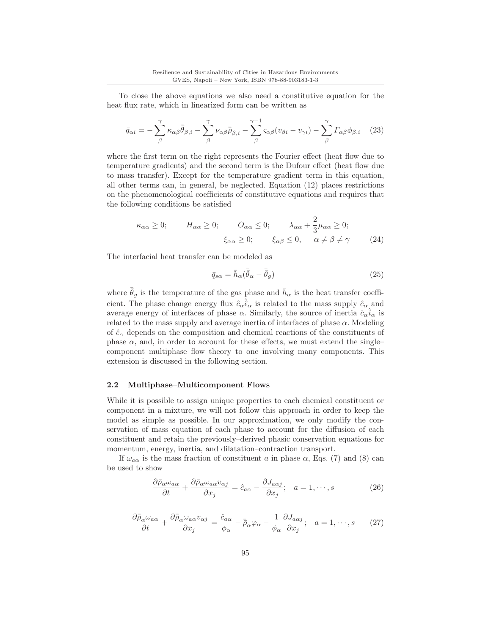To close the above equations we also need a constitutive equation for the heat flux rate, which in linearized form can be written as

$$
\bar{q}_{\alpha i} = -\sum_{\beta}^{\gamma} \kappa_{\alpha\beta} \bar{\bar{\theta}}_{\beta,i} - \sum_{\beta}^{\gamma} \nu_{\alpha\beta} \bar{\bar{\rho}}_{\beta,i} - \sum_{\beta}^{\gamma-1} \varsigma_{\alpha\beta} (v_{\beta i} - v_{\gamma i}) - \sum_{\beta}^{\gamma} \Gamma_{\alpha\beta} \phi_{\beta,i} \quad (23)
$$

where the first term on the right represents the Fourier effect (heat flow due to temperature gradients) and the second term is the Dufour effect (heat flow due to mass transfer). Except for the temperature gradient term in this equation, all other terms can, in general, be neglected. Equation (12) places restrictions on the phenomenological coefficients of constitutive equations and requires that the following conditions be satisfied

$$
\kappa_{\alpha\alpha} \ge 0; \qquad H_{\alpha\alpha} \ge 0; \qquad O_{\alpha\alpha} \le 0; \qquad \lambda_{\alpha\alpha} + \frac{2}{3}\mu_{\alpha\alpha} \ge 0; \xi_{\alpha\alpha} \ge 0; \qquad \xi_{\alpha\beta} \le 0, \qquad \alpha \ne \beta \ne \gamma
$$
\n(24)

The interfacial heat transfer can be modeled as

$$
\bar{q}_{s\alpha} = \bar{h}_{\alpha}(\bar{\bar{\theta}}_{\alpha} - \bar{\bar{\theta}}_{g})
$$
\n(25)

where  $\bar{\bar{\theta}}_g$  is the temperature of the gas phase and  $\bar{h}_\alpha$  is the heat transfer coefficient. The phase change energy flux  $\hat{c}_{\alpha} \hat{\epsilon}_{\alpha}$  is related to the mass supply  $\hat{c}_{\alpha}$  and average energy of interfaces of phase  $\alpha$ . Similarly, the source of inertia  $\hat{c}_{\alpha}i_{\alpha}$  is related to the mass supply and average inertia of interfaces of phase  $\alpha$ . Modeling of  $\hat{c}_{\alpha}$  depends on the composition and chemical reactions of the constituents of phase  $\alpha$ , and, in order to account for these effects, we must extend the singlecomponent multiphase flow theory to one involving many components. This extension is discussed in the following section.

### **2.2 Multiphase–Multicomponent Flows**

While it is possible to assign unique properties to each chemical constituent or component in a mixture, we will not follow this approach in order to keep the model as simple as possible. In our approximation, we only modify the conservation of mass equation of each phase to account for the diffusion of each constituent and retain the previously–derived phasic conservation equations for momentum, energy, inertia, and dilatation–contraction transport.

If  $\omega_{a\alpha}$  is the mass fraction of constituent a in phase  $\alpha$ , Eqs. (7) and (8) can be used to show

$$
\frac{\partial \bar{\rho}_{\alpha}\omega_{a\alpha}}{\partial t} + \frac{\partial \bar{\rho}_{\alpha}\omega_{a\alpha}v_{\alpha j}}{\partial x_j} = \hat{c}_{a\alpha} - \frac{\partial J_{a\alpha j}}{\partial x_j}; \quad a = 1, \cdots, s
$$
 (26)

$$
\frac{\partial \bar{\bar{\rho}}_{\alpha}\omega_{a\alpha}}{\partial t} + \frac{\partial \bar{\bar{\rho}}_{\alpha}\omega_{a\alpha}v_{\alpha j}}{\partial x_{j}} = \frac{\hat{c}_{a\alpha}}{\phi_{\alpha}} - \bar{\bar{\rho}}_{\alpha}\varphi_{\alpha} - \frac{1}{\phi_{\alpha}}\frac{\partial J_{a\alpha j}}{\partial x_{j}}; \quad a = 1, \cdots, s \qquad (27)
$$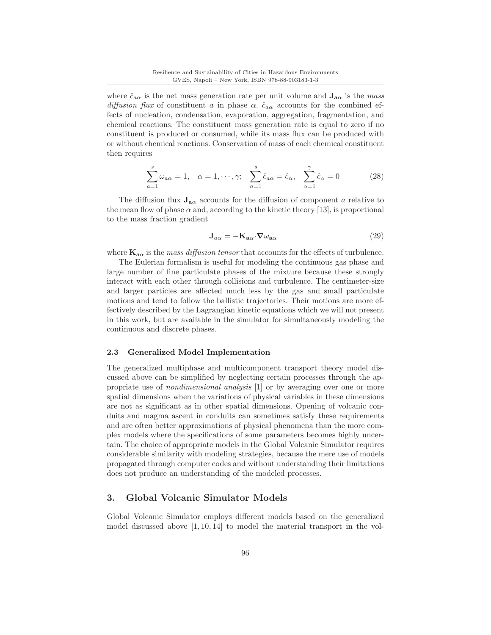where  $\hat{c}_{a\alpha}$  is the net mass generation rate per unit volume and  $\mathbf{J}_{\mathbf{a}\alpha}$  is the mass diffusion flux of constituent a in phase  $\alpha$ .  $\hat{c}_{a\alpha}$  accounts for the combined effects of nucleation, condensation, evaporation, aggregation, fragmentation, and chemical reactions. The constituent mass generation rate is equal to zero if no constituent is produced or consumed, while its mass flux can be produced with or without chemical reactions. Conservation of mass of each chemical constituent then requires

$$
\sum_{a=1}^{s} \omega_{a\alpha} = 1, \quad \alpha = 1, \cdots, \gamma; \quad \sum_{a=1}^{s} \hat{c}_{a\alpha} = \hat{c}_{\alpha}, \quad \sum_{\alpha=1}^{ \gamma} \hat{c}_{\alpha} = 0 \tag{28}
$$

The diffusion flux  $J_{a\alpha}$  accounts for the diffusion of component a relative to the mean flow of phase  $\alpha$  and, according to the kinetic theory [13], is proportional to the mass fraction gradient

$$
\mathbf{J}_{a\alpha} = -\mathbf{K}_{a\alpha} \cdot \nabla \omega_{a\alpha} \tag{29}
$$

where  $\mathbf{K}_{\mathbf{a}\alpha}$  is the mass diffusion tensor that accounts for the effects of turbulence.

The Eulerian formalism is useful for modeling the continuous gas phase and large number of fine particulate phases of the mixture because these strongly interact with each other through collisions and turbulence. The centimeter-size and larger particles are affected much less by the gas and small particulate motions and tend to follow the ballistic trajectories. Their motions are more effectively described by the Lagrangian kinetic equations which we will not present in this work, but are available in the simulator for simultaneously modeling the continuous and discrete phases.

## **2.3 Generalized Model Implementation**

The generalized multiphase and multicomponent transport theory model discussed above can be simplified by neglecting certain processes through the appropriate use of nondimensional analysis [1] or by averaging over one or more spatial dimensions when the variations of physical variables in these dimensions are not as significant as in other spatial dimensions. Opening of volcanic conduits and magma ascent in conduits can sometimes satisfy these requirements and are often better approximations of physical phenomena than the more complex models where the specifications of some parameters becomes highly uncertain. The choice of appropriate models in the Global Volcanic Simulator requires considerable similarity with modeling strategies, because the mere use of models propagated through computer codes and without understanding their limitations does not produce an understanding of the modeled processes.

## **3. Global Volcanic Simulator Models**

Global Volcanic Simulator employs different models based on the generalized model discussed above  $[1, 10, 14]$  to model the material transport in the vol-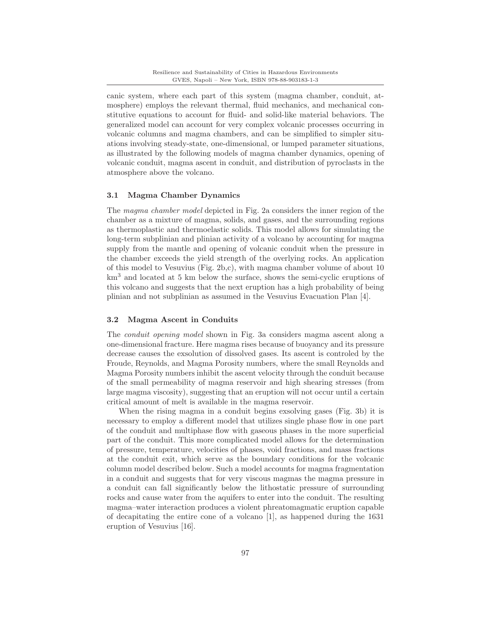canic system, where each part of this system (magma chamber, conduit, atmosphere) employs the relevant thermal, fluid mechanics, and mechanical constitutive equations to account for fluid- and solid-like material behaviors. The generalized model can account for very complex volcanic processes occurring in volcanic columns and magma chambers, and can be simplified to simpler situations involving steady-state, one-dimensional, or lumped parameter situations, as illustrated by the following models of magma chamber dynamics, opening of volcanic conduit, magma ascent in conduit, and distribution of pyroclasts in the atmosphere above the volcano.

## **3.1 Magma Chamber Dynamics**

The magma chamber model depicted in Fig. 2a considers the inner region of the chamber as a mixture of magma, solids, and gases, and the surrounding regions as thermoplastic and thermoelastic solids. This model allows for simulating the long-term subplinian and plinian activity of a volcano by accounting for magma supply from the mantle and opening of volcanic conduit when the pressure in the chamber exceeds the yield strength of the overlying rocks. An application of this model to Vesuvius (Fig. 2b,c), with magma chamber volume of about 10 km<sup>3</sup> and located at 5 km below the surface, shows the semi-cyclic eruptions of this volcano and suggests that the next eruption has a high probability of being plinian and not subplinian as assumed in the Vesuvius Evacuation Plan [4].

### **3.2 Magma Ascent in Conduits**

The conduit opening model shown in Fig. 3a considers magma ascent along a one-dimensional fracture. Here magma rises because of buoyancy and its pressure decrease causes the exsolution of dissolved gases. Its ascent is controled by the Froude, Reynolds, and Magma Porosity numbers, where the small Reynolds and Magma Porosity numbers inhibit the ascent velocity through the conduit because of the small permeability of magma reservoir and high shearing stresses (from large magma viscosity), suggesting that an eruption will not occur until a certain critical amount of melt is available in the magma reservoir.

When the rising magma in a conduit begins exsolving gases (Fig. 3b) it is necessary to employ a different model that utilizes single phase flow in one part of the conduit and multiphase flow with gaseous phases in the more superficial part of the conduit. This more complicated model allows for the determination of pressure, temperature, velocities of phases, void fractions, and mass fractions at the conduit exit, which serve as the boundary conditions for the volcanic column model described below. Such a model accounts for magma fragmentation in a conduit and suggests that for very viscous magmas the magma pressure in a conduit can fall significantly below the lithostatic pressure of surrounding rocks and cause water from the aquifers to enter into the conduit. The resulting magma–water interaction produces a violent phreatomagmatic eruption capable of decapitating the entire cone of a volcano [1], as happened during the 1631 eruption of Vesuvius [16].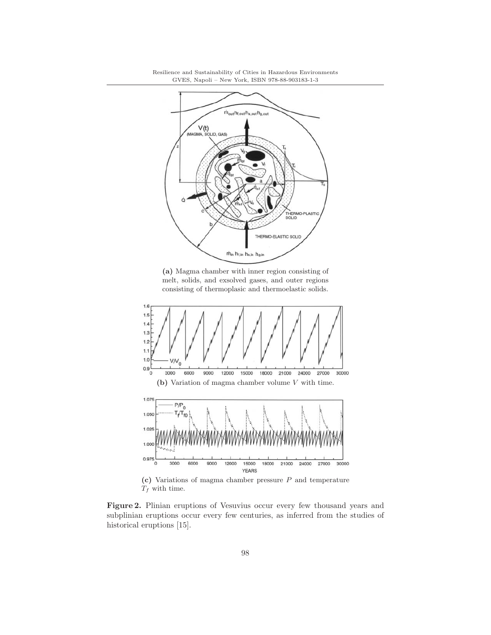

**(a)** Magma chamber with inner region consisting of melt, solids, and exsolved gases, and outer regions consisting of thermoplasic and thermoelastic solids.



 $T_f$  with time.

**Figure 2.** Plinian eruptions of Vesuvius occur every few thousand years and subplinian eruptions occur every few centuries, as inferred from the studies of historical eruptions [15].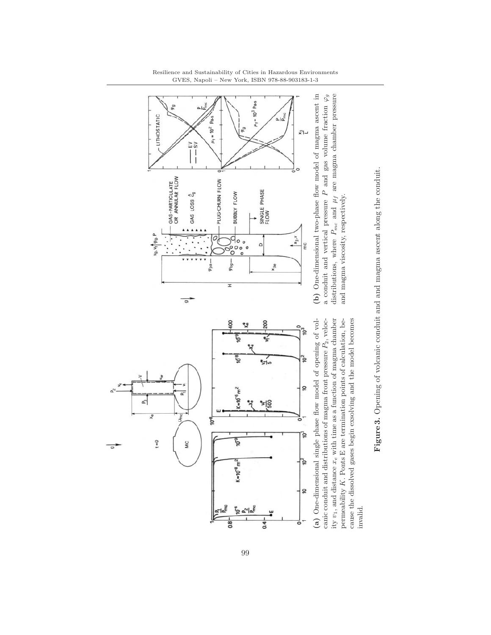







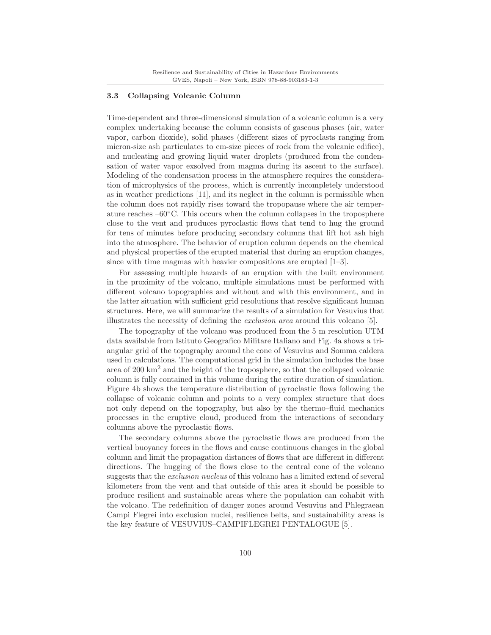## **3.3 Collapsing Volcanic Column**

Time-dependent and three-dimensional simulation of a volcanic column is a very complex undertaking because the column consists of gaseous phases (air, water vapor, carbon dioxide), solid phases (different sizes of pyroclasts ranging from micron-size ash particulates to cm-size pieces of rock from the volcanic edifice), and nucleating and growing liquid water droplets (produced from the condensation of water vapor exsolved from magma during its ascent to the surface). Modeling of the condensation process in the atmosphere requires the consideration of microphysics of the process, which is currently incompletely understood as in weather predictions [11], and its neglect in the column is permissible when the column does not rapidly rises toward the tropopause where the air temperature reaches  $-60°C$ . This occurs when the column collapses in the troposphere close to the vent and produces pyroclastic flows that tend to hug the ground for tens of minutes before producing secondary columns that lift hot ash high into the atmosphere. The behavior of eruption column depends on the chemical and physical properties of the erupted material that during an eruption changes, since with time magmas with heavier compositions are erupted [1–3].

For assessing multiple hazards of an eruption with the built environment in the proximity of the volcano, multiple simulations must be performed with different volcano topographies and without and with this environment, and in the latter situation with sufficient grid resolutions that resolve significant human structures. Here, we will summarize the results of a simulation for Vesuvius that illustrates the necessity of defining the exclusion area around this volcano [5].

The topography of the volcano was produced from the 5 m resolution UTM data available from Istituto Geografico Militare Italiano and Fig. 4a shows a triangular grid of the topography around the cone of Vesuvius and Somma caldera used in calculations. The computational grid in the simulation includes the base area of  $200 \text{ km}^2$  and the height of the troposphere, so that the collapsed volcanic column is fully contained in this volume during the entire duration of simulation. Figure 4b shows the temperature distribution of pyroclastic flows following the collapse of volcanic column and points to a very complex structure that does not only depend on the topography, but also by the thermo–fluid mechanics processes in the eruptive cloud, produced from the interactions of secondary columns above the pyroclastic flows.

The secondary columns above the pyroclastic flows are produced from the vertical buoyancy forces in the flows and cause continuous changes in the global column and limit the propagation distances of flows that are different in different directions. The hugging of the flows close to the central cone of the volcano suggests that the exclusion nucleus of this volcano has a limited extend of several kilometers from the vent and that outside of this area it should be possible to produce resilient and sustainable areas where the population can cohabit with the volcano. The redefinition of danger zones around Vesuvius and Phlegraean Campi Flegrei into exclusion nuclei, resilience belts, and sustainability areas is the key feature of VESUVIUS–CAMPIFLEGREI PENTALOGUE [5].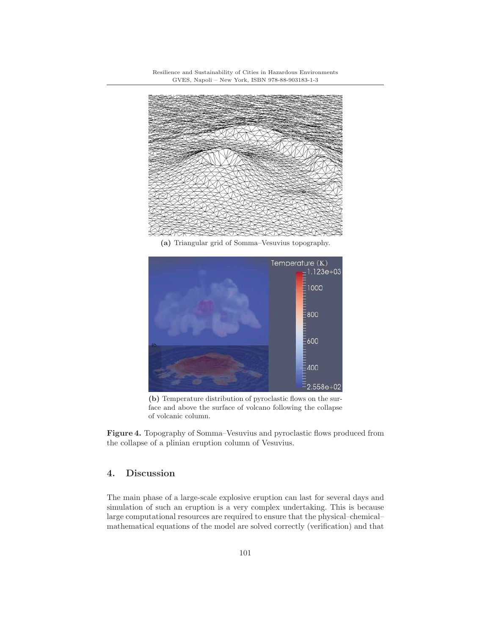

**(a)** Triangular grid of Somma–Vesuvius topography.



**(b)** Temperature distribution of pyroclastic flows on the surface and above the surface of volcano following the collapse of volcanic column.

Figure 4. Topography of Somma–Vesuvius and pyroclastic flows produced from the collapse of a plinian eruption column of Vesuvius.

# **4. Discussion**

The main phase of a large-scale explosive eruption can last for several days and simulation of such an eruption is a very complex undertaking. This is because large computational resources are required to ensure that the physical–chemical– mathematical equations of the model are solved correctly (verification) and that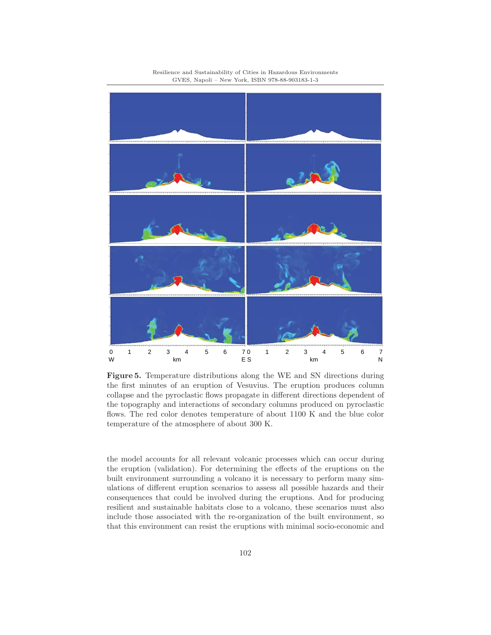

Resilience and Sustainability of Cities in Hazardous Environments GVES, Napoli – New York, ISBN 978-88-903183-1-3

**Figure 5.** Temperature distributions along the WE and SN directions during the first minutes of an eruption of Vesuvius. The eruption produces column collapse and the pyroclastic flows propagate in different directions dependent of the topography and interactions of secondary columns produced on pyroclastic flows. The red color denotes temperature of about 1100 K and the blue color temperature of the atmosphere of about 300 K.

the model accounts for all relevant volcanic processes which can occur during the eruption (validation). For determining the effects of the eruptions on the built environment surrounding a volcano it is necessary to perform many simulations of different eruption scenarios to assess all possible hazards and their consequences that could be involved during the eruptions. And for producing resilient and sustainable habitats close to a volcano, these scenarios must also include those associated with the re-organization of the built environment, so that this environment can resist the eruptions with minimal socio-economic and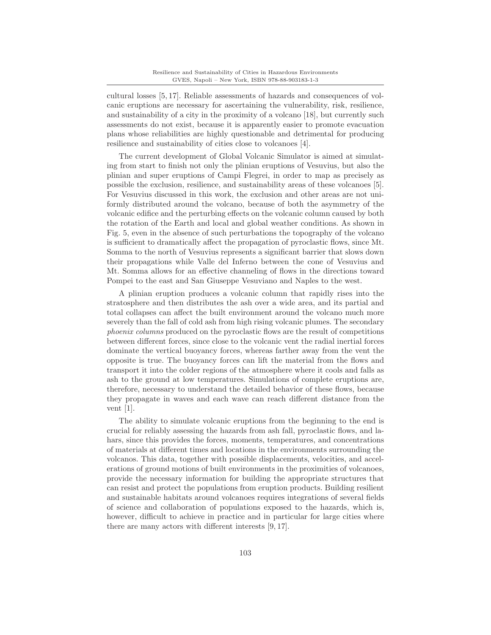cultural losses [5, 17]. Reliable assessments of hazards and consequences of volcanic eruptions are necessary for ascertaining the vulnerability, risk, resilience, and sustainability of a city in the proximity of a volcano [18], but currently such assessments do not exist, because it is apparently easier to promote evacuation plans whose reliabilities are highly questionable and detrimental for producing resilience and sustainability of cities close to volcanoes [4].

The current development of Global Volcanic Simulator is aimed at simulating from start to finish not only the plinian eruptions of Vesuvius, but also the plinian and super eruptions of Campi Flegrei, in order to map as precisely as possible the exclusion, resilience, and sustainability areas of these volcanoes [5]. For Vesuvius discussed in this work, the exclusion and other areas are not uniformly distributed around the volcano, because of both the asymmetry of the volcanic edifice and the perturbing effects on the volcanic column caused by both the rotation of the Earth and local and global weather conditions. As shown in Fig. 5, even in the absence of such perturbations the topography of the volcano is sufficient to dramatically affect the propagation of pyroclastic flows, since Mt. Somma to the north of Vesuvius represents a significant barrier that slows down their propagations while Valle del Inferno between the cone of Vesuvius and Mt. Somma allows for an effective channeling of flows in the directions toward Pompei to the east and San Giuseppe Vesuviano and Naples to the west.

A plinian eruption produces a volcanic column that rapidly rises into the stratosphere and then distributes the ash over a wide area, and its partial and total collapses can affect the built environment around the volcano much more severely than the fall of cold ash from high rising volcanic plumes. The secondary phoenix columns produced on the pyroclastic flows are the result of competitions between different forces, since close to the volcanic vent the radial inertial forces dominate the vertical buoyancy forces, whereas farther away from the vent the opposite is true. The buoyancy forces can lift the material from the flows and transport it into the colder regions of the atmosphere where it cools and falls as ash to the ground at low temperatures. Simulations of complete eruptions are, therefore, necessary to understand the detailed behavior of these flows, because they propagate in waves and each wave can reach different distance from the vent [1].

The ability to simulate volcanic eruptions from the beginning to the end is crucial for reliably assessing the hazards from ash fall, pyroclastic flows, and lahars, since this provides the forces, moments, temperatures, and concentrations of materials at different times and locations in the environments surrounding the volcanos. This data, together with possible displacements, velocities, and accelerations of ground motions of built environments in the proximities of volcanoes, provide the necessary information for building the appropriate structures that can resist and protect the populations from eruption products. Building resilient and sustainable habitats around volcanoes requires integrations of several fields of science and collaboration of populations exposed to the hazards, which is, however, difficult to achieve in practice and in particular for large cities where there are many actors with different interests [9, 17].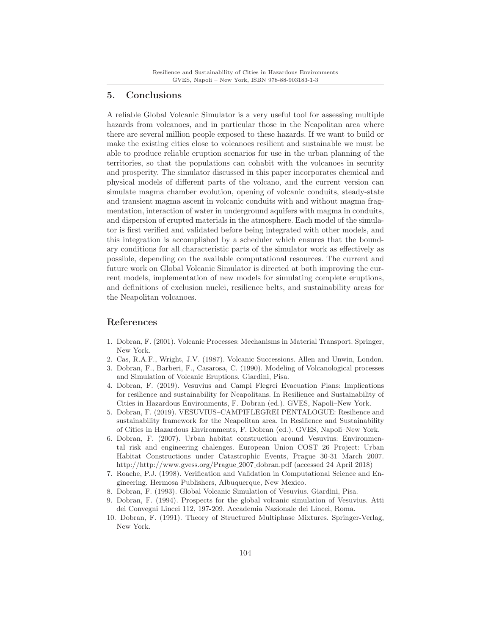## **5. Conclusions**

A reliable Global Volcanic Simulator is a very useful tool for assessing multiple hazards from volcanoes, and in particular those in the Neapolitan area where there are several million people exposed to these hazards. If we want to build or make the existing cities close to volcanoes resilient and sustainable we must be able to produce reliable eruption scenarios for use in the urban planning of the territories, so that the populations can cohabit with the volcanoes in security and prosperity. The simulator discussed in this paper incorporates chemical and physical models of different parts of the volcano, and the current version can simulate magma chamber evolution, opening of volcanic conduits, steady-state and transient magma ascent in volcanic conduits with and without magma fragmentation, interaction of water in underground aquifers with magma in conduits, and dispersion of erupted materials in the atmosphere. Each model of the simulator is first verified and validated before being integrated with other models, and this integration is accomplished by a scheduler which ensures that the boundary conditions for all characteristic parts of the simulator work as effectively as possible, depending on the available computational resources. The current and future work on Global Volcanic Simulator is directed at both improving the current models, implementation of new models for simulating complete eruptions, and definitions of exclusion nuclei, resilience belts, and sustainability areas for the Neapolitan volcanoes.

## **References**

- 1. Dobran, F. (2001). Volcanic Processes: Mechanisms in Material Transport. Springer, New York.
- 2. Cas, R.A.F., Wright, J.V. (1987). Volcanic Successions. Allen and Unwin, London.
- 3. Dobran, F., Barberi, F., Casarosa, C. (1990). Modeling of Volcanological processes and Simulation of Volcanic Eruptions. Giardini, Pisa.
- 4. Dobran, F. (2019). Vesuvius and Campi Flegrei Evacuation Plans: Implications for resilience and sustainability for Neapolitans. In Resilience and Sustainability of Cities in Hazardous Environments, F. Dobran (ed.). GVES, Napoli–New York.
- 5. Dobran, F. (2019). VESUVIUS–CAMPIFLEGREI PENTALOGUE: Resilience and sustainability framework for the Neapolitan area. In Resilience and Sustainability of Cities in Hazardous Environments, F. Dobran (ed.). GVES, Napoli–New York.
- 6. Dobran, F. (2007). Urban habitat construction around Vesuvius: Environmental risk and engineering chalenges. European Union COST 26 Project: Urban Habitat Constructions under Catastrophic Events, Prague 30-31 March 2007. http://http://www.gvess.org/Prague 2007 dobran.pdf (accessed 24 April 2018)
- 7. Roache, P.J. (1998). Verification and Validation in Computational Science and Engineering. Hermosa Publishers, Albuquerque, New Mexico.
- 8. Dobran, F. (1993). Global Volcanic Simulation of Vesuvius. Giardini, Pisa.
- 9. Dobran, F. (1994). Prospects for the global volcanic simulation of Vesuvius. Atti dei Convegni Lincei 112, 197-209. Accademia Nazionale dei Lincei, Roma.
- 10. Dobran, F. (1991). Theory of Structured Multiphase Mixtures. Springer-Verlag, New York.